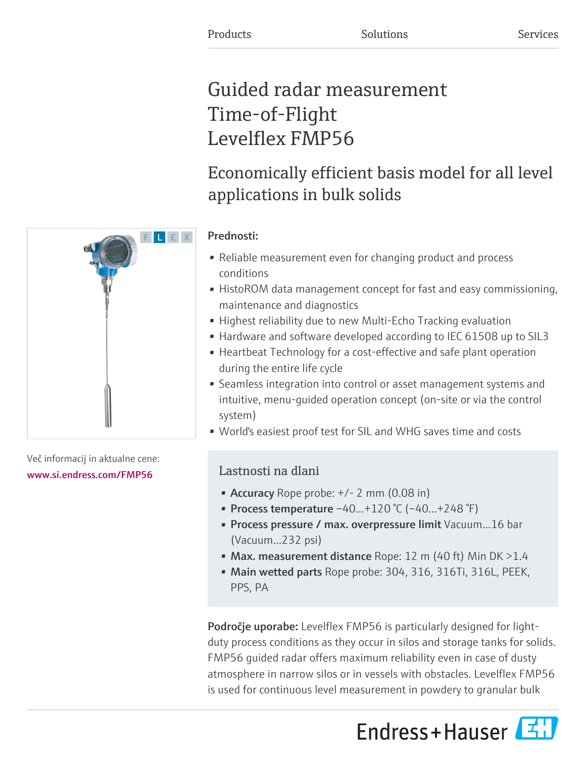# Guided radar measurement Time-of-Flight Levelflex FMP56

# Economically efficient basis model for all level applications in bulk solids

# Prednosti:

- Reliable measurement even for changing product and process conditions
- HistoROM data management concept for fast and easy commissioning, maintenance and diagnostics
- Highest reliability due to new Multi-Echo Tracking evaluation
- Hardware and software developed according to IEC 61508 up to SIL3
- Heartbeat Technology for a cost-effective and safe plant operation during the entire life cycle
- Seamless integration into control or asset management systems and intuitive, menu-guided operation concept (on-site or via the control system)
- World's easiest proof test for SIL and WHG saves time and costs

# Lastnosti na dlani

- Accuracy Rope probe:  $+/- 2$  mm (0.08 in)
- Process temperature  $-40...+120$  °C ( $-40...+248$  °F)
- Process pressure / max. overpressure limit Vacuum...16 bar (Vacuum...232 psi)
- Max. measurement distance Rope: 12 m (40 ft) Min DK  $>1.4$
- Main wetted parts Rope probe: 304, 316, 316Ti, 316L, PEEK, PPS, PA

Področje uporabe: Levelflex FMP56 is particularly designed for lightduty process conditions as they occur in silos and storage tanks for solids. FMP56 guided radar offers maximum reliability even in case of dusty atmosphere in narrow silos or in vessels with obstacles. Levelflex FMP56 is used for continuous level measurement in powdery to granular bulk





Več informacij in aktualne cene: [www.si.endress.com/FMP56](https://www.si.endress.com/FMP56)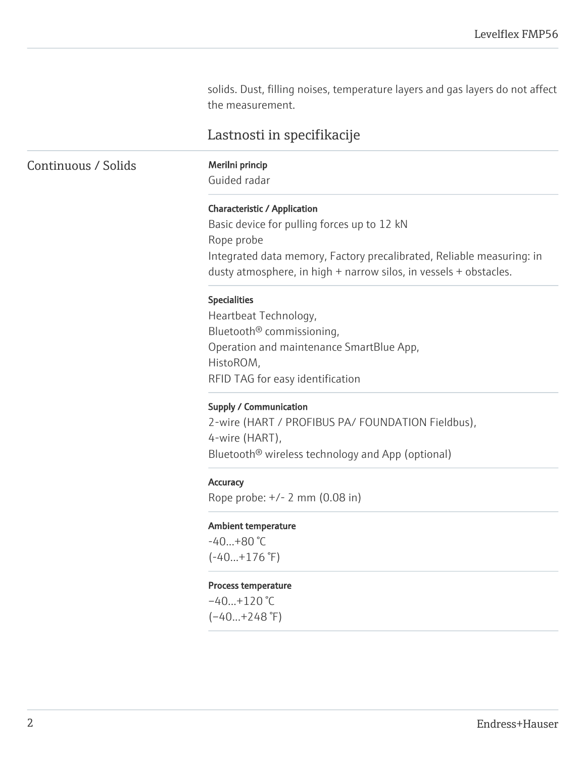solids. Dust, filling noises, temperature layers and gas layers do not affect the measurement.

# Lastnosti in specifikacije

Continuous / Solids Merilni princip

Guided radar

#### Characteristic / Application

Basic device for pulling forces up to 12 kN Rope probe Integrated data memory, Factory precalibrated, Reliable measuring: in dusty atmosphere, in high + narrow silos, in vessels + obstacles.

#### Specialities

Heartbeat Technology, Bluetooth® commissioning, Operation and maintenance SmartBlue App, HistoROM, RFID TAG for easy identification

#### Supply / Communication

2-wire (HART / PROFIBUS PA/ FOUNDATION Fieldbus), 4-wire (HART), Bluetooth® wireless technology and App (optional)

#### **Accuracy**

Rope probe: +/- 2 mm (0.08 in)

#### Ambient temperature

 $-40...+80$  °C  $(-40...+176)$ <sup>°</sup>F)

#### Process temperature

 $-40...+120$  °C  $(-40...+248$ °F)